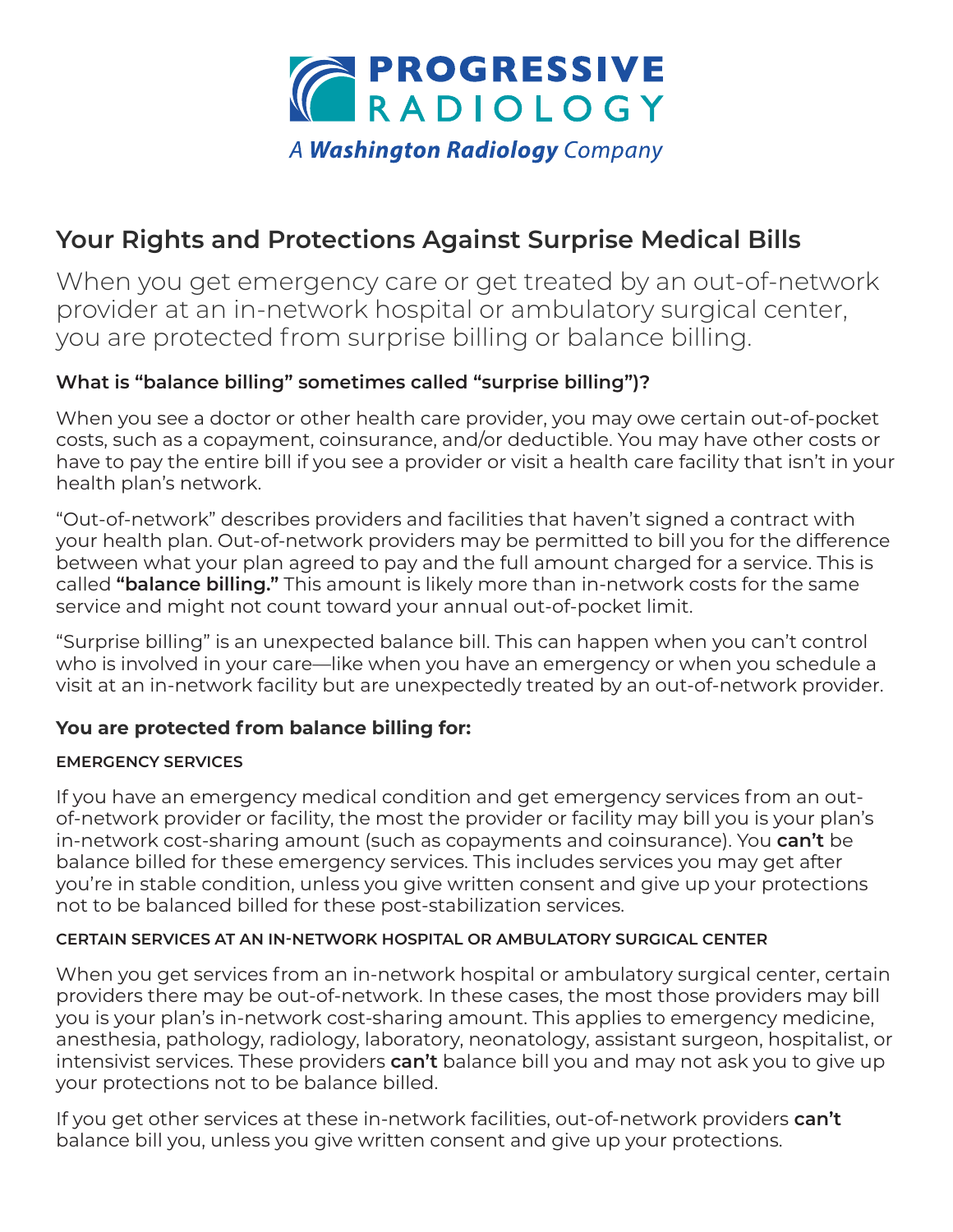

# **Your Rights and Protections Against Surprise Medical Bills**

When you get emergency care or get treated by an out-of-network provider at an in-network hospital or ambulatory surgical center, you are protected from surprise billing or balance billing.

# **What is "balance billing" sometimes called "surprise billing")?**

When you see a doctor or other health care provider, you may owe certain out-of-pocket costs, such as a copayment, coinsurance, and/or deductible. You may have other costs or have to pay the entire bill if you see a provider or visit a health care facility that isn't in your health plan's network.

"Out-of-network" describes providers and facilities that haven't signed a contract with your health plan. Out-of-network providers may be permitted to bill you for the difference between what your plan agreed to pay and the full amount charged for a service. This is called **"balance billing."** This amount is likely more than in-network costs for the same service and might not count toward your annual out-of-pocket limit.

"Surprise billing" is an unexpected balance bill. This can happen when you can't control who is involved in your care—like when you have an emergency or when you schedule a visit at an in-network facility but are unexpectedly treated by an out-of-network provider.

# **You are protected from balance billing for:**

### **EMERGENCY SERVICES**

If you have an emergency medical condition and get emergency services from an outof-network provider or facility, the most the provider or facility may bill you is your plan's in-network cost-sharing amount (such as copayments and coinsurance). You **can't** be balance billed for these emergency services. This includes services you may get after you're in stable condition, unless you give written consent and give up your protections not to be balanced billed for these post-stabilization services.

### **CERTAIN SERVICES AT AN IN-NETWORK HOSPITAL OR AMBULATORY SURGICAL CENTER**

When you get services from an in-network hospital or ambulatory surgical center, certain providers there may be out-of-network. In these cases, the most those providers may bill you is your plan's in-network cost-sharing amount. This applies to emergency medicine, anesthesia, pathology, radiology, laboratory, neonatology, assistant surgeon, hospitalist, or intensivist services. These providers **can't** balance bill you and may not ask you to give up your protections not to be balance billed.

If you get other services at these in-network facilities, out-of-network providers **can't**  balance bill you, unless you give written consent and give up your protections.